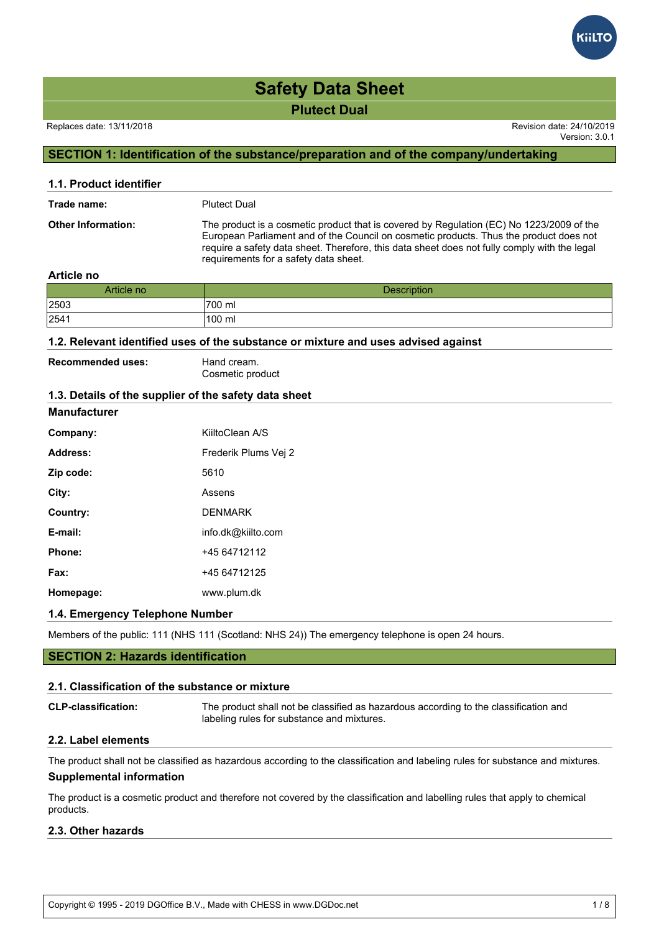### Replaces date: 13/11/2018 Revision date: 24/10/2019

Version: 3.0.1

# **SECTION 1: Identification of the substance/preparation and of the company/undertaking**

| 1.1. Product identifier            |                                                                                                                                                                                                                                                                                                                             |  |  |
|------------------------------------|-----------------------------------------------------------------------------------------------------------------------------------------------------------------------------------------------------------------------------------------------------------------------------------------------------------------------------|--|--|
| <b>Plutect Dual</b><br>Trade name: |                                                                                                                                                                                                                                                                                                                             |  |  |
| <b>Other Information:</b>          | The product is a cosmetic product that is covered by Regulation (EC) No 1223/2009 of the<br>European Parliament and of the Council on cosmetic products. Thus the product does not<br>require a safety data sheet. Therefore, this data sheet does not fully comply with the legal<br>requirements for a safety data sheet. |  |  |

## **Article no**

| Article no | <b>Description</b> |
|------------|--------------------|
| 2503       | '700 ml            |
| 2541       | 100 ml             |

## **1.2. Relevant identified uses of the substance or mixture and uses advised against**

| <b>Recommended uses:</b> | Hand cream.      |
|--------------------------|------------------|
|                          | Cosmetic product |

# **1.3. Details of the supplier of the safety data sheet**

# **Manufacturer**

| Company:  | KiiltoClean A/S      |
|-----------|----------------------|
| Address:  | Frederik Plums Vej 2 |
| Zip code: | 5610                 |
| City:     | Assens               |
| Country:  | <b>DENMARK</b>       |
| E-mail:   | info.dk@kiilto.com   |
| Phone:    | +45 64712112         |
| Fax:      | +45 64712125         |
| Homepage: | www.plum.dk          |

### **1.4. Emergency Telephone Number**

Members of the public: 111 (NHS 111 (Scotland: NHS 24)) The emergency telephone is open 24 hours.

# **SECTION 2: Hazards identification**

### **2.1. Classification of the substance or mixture**

| <b>CLP-classification:</b> | The product shall not be classified as hazardous according to the classification and<br>labeling rules for substance and mixtures. |
|----------------------------|------------------------------------------------------------------------------------------------------------------------------------|
| 00 Lehel alamanda          |                                                                                                                                    |

## **2.2. Label elements**

The product shall not be classified as hazardous according to the classification and labeling rules for substance and mixtures. **Supplemental information**

The product is a cosmetic product and therefore not covered by the classification and labelling rules that apply to chemical products.

# **2.3. Other hazards**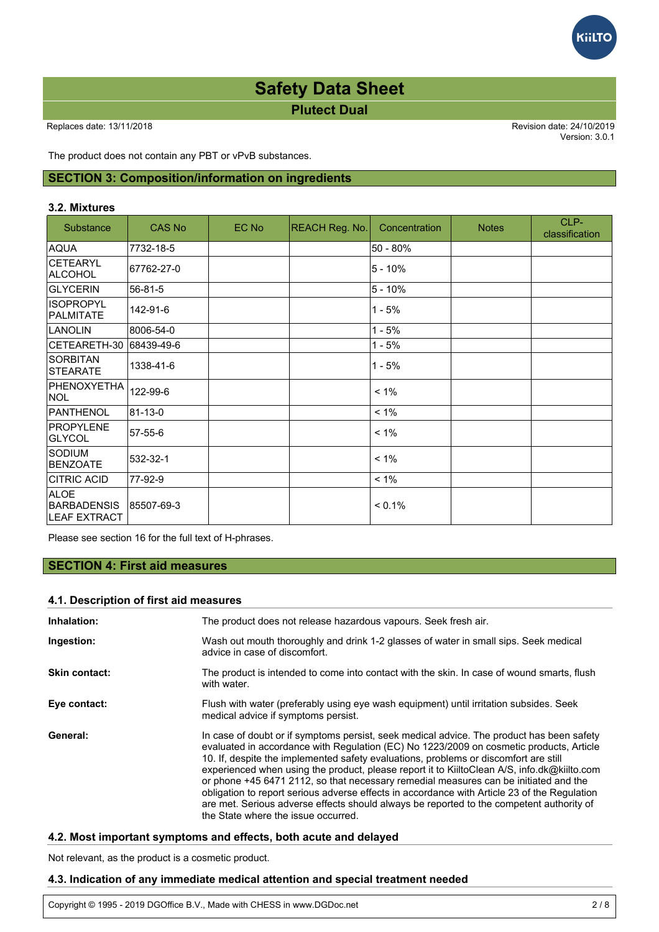Version: 3.0.1

**GILTC** 

The product does not contain any PBT or vPvB substances.

# **SECTION 3: Composition/information on ingredients**

### **3.2. Mixtures**

| Substance                                         | <b>CAS No</b> | EC No | REACH Reg. No. | Concentration | <b>Notes</b> | CLP-<br>classification |
|---------------------------------------------------|---------------|-------|----------------|---------------|--------------|------------------------|
| <b>AQUA</b>                                       | 7732-18-5     |       |                | 50 - 80%      |              |                        |
| <b>CETEARYL</b><br>ALCOHOL                        | 67762-27-0    |       |                | $5 - 10%$     |              |                        |
| <b>GLYCERIN</b>                                   | 56-81-5       |       |                | $5 - 10%$     |              |                        |
| <b>ISOPROPYL</b><br>PALMITATE                     | 142-91-6      |       |                | $1 - 5%$      |              |                        |
| <b>LANOLIN</b>                                    | 8006-54-0     |       |                | $1 - 5%$      |              |                        |
| CETEARETH-30                                      | 68439-49-6    |       |                | $1 - 5%$      |              |                        |
| <b>SORBITAN</b><br>STEARATE                       | 1338-41-6     |       |                | $1 - 5%$      |              |                        |
| PHENOXYETHA<br>NOL                                | 122-99-6      |       |                | $< 1\%$       |              |                        |
| PANTHENOL                                         | 81-13-0       |       |                | $< 1\%$       |              |                        |
| <b>PROPYLENE</b><br><b>GLYCOL</b>                 | 57-55-6       |       |                | $< 1\%$       |              |                        |
| <b>SODIUM</b><br>BENZOATE                         | 532-32-1      |       |                | $< 1\%$       |              |                        |
| <b>CITRIC ACID</b>                                | 77-92-9       |       |                | $< 1\%$       |              |                        |
| <b>ALOE</b><br><b>BARBADENSIS</b><br>LEAF EXTRACT | 85507-69-3    |       |                | $< 0.1\%$     |              |                        |

Please see section 16 for the full text of H-phrases.

# **SECTION 4: First aid measures**

## **4.1. Description of first aid measures**

| Inhalation:          | The product does not release hazardous vapours. Seek fresh air.                                                                                                                                                                                                                                                                                                                                                                                                                                                                                                                                                                                                                                        |  |  |
|----------------------|--------------------------------------------------------------------------------------------------------------------------------------------------------------------------------------------------------------------------------------------------------------------------------------------------------------------------------------------------------------------------------------------------------------------------------------------------------------------------------------------------------------------------------------------------------------------------------------------------------------------------------------------------------------------------------------------------------|--|--|
| Ingestion:           | Wash out mouth thoroughly and drink 1-2 glasses of water in small sips. Seek medical<br>advice in case of discomfort.                                                                                                                                                                                                                                                                                                                                                                                                                                                                                                                                                                                  |  |  |
| <b>Skin contact:</b> | The product is intended to come into contact with the skin. In case of wound smarts, flush<br>with water.                                                                                                                                                                                                                                                                                                                                                                                                                                                                                                                                                                                              |  |  |
| Eye contact:         | Flush with water (preferably using eye wash equipment) until irritation subsides. Seek<br>medical advice if symptoms persist.                                                                                                                                                                                                                                                                                                                                                                                                                                                                                                                                                                          |  |  |
| General:             | In case of doubt or if symptoms persist, seek medical advice. The product has been safety<br>evaluated in accordance with Regulation (EC) No 1223/2009 on cosmetic products, Article<br>10. If, despite the implemented safety evaluations, problems or discomfort are still<br>experienced when using the product, please report it to KiiltoClean A/S, info.dk@kiilto.com<br>or phone +45 6471 2112, so that necessary remedial measures can be initiated and the<br>obligation to report serious adverse effects in accordance with Article 23 of the Regulation<br>are met. Serious adverse effects should always be reported to the competent authority of<br>the State where the issue occurred. |  |  |

# **4.2. Most important symptoms and effects, both acute and delayed**

Not relevant, as the product is a cosmetic product.

# **4.3. Indication of any immediate medical attention and special treatment needed**

Copyright © 1995 - 2019 DGOffice B.V., Made with CHESS in www.DGDoc.net 2 / 8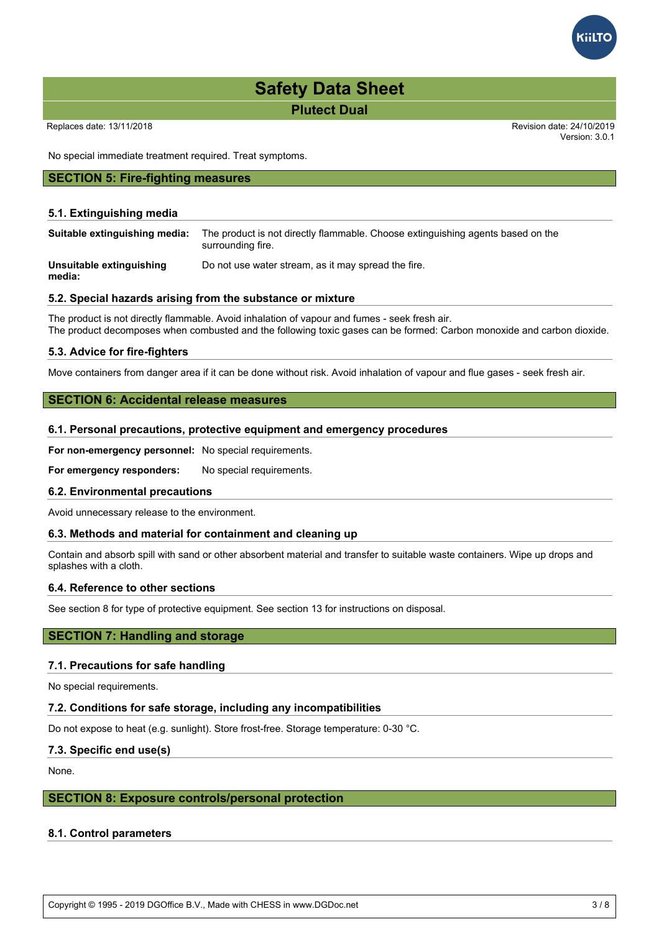Replaces date: 13/11/2018 Revision date: 24/10/2019

Version: 3.0.1

No special immediate treatment required. Treat symptoms.

# **SECTION 5: Fire-fighting measures**

# **5.1. Extinguishing media**

| Suitable extinguishing media:      | The product is not directly flammable. Choose extinguishing agents based on the<br>surrounding fire. |
|------------------------------------|------------------------------------------------------------------------------------------------------|
| Unsuitable extinguishing<br>media: | Do not use water stream, as it may spread the fire.                                                  |

# **5.2. Special hazards arising from the substance or mixture**

The product is not directly flammable. Avoid inhalation of vapour and fumes - seek fresh air. The product decomposes when combusted and the following toxic gases can be formed: Carbon monoxide and carbon dioxide.

### **5.3. Advice for fire-fighters**

Move containers from danger area if it can be done without risk. Avoid inhalation of vapour and flue gases - seek fresh air.

# **SECTION 6: Accidental release measures**

### **6.1. Personal precautions, protective equipment and emergency procedures**

**For non-emergency personnel:** No special requirements.

For emergency responders: No special requirements.

### **6.2. Environmental precautions**

Avoid unnecessary release to the environment.

# **6.3. Methods and material for containment and cleaning up**

Contain and absorb spill with sand or other absorbent material and transfer to suitable waste containers. Wipe up drops and splashes with a cloth.

### **6.4. Reference to other sections**

See section 8 for type of protective equipment. See section 13 for instructions on disposal.

# **SECTION 7: Handling and storage**

### **7.1. Precautions for safe handling**

No special requirements.

### **7.2. Conditions for safe storage, including any incompatibilities**

Do not expose to heat (e.g. sunlight). Store frost-free. Storage temperature: 0-30 °C.

# **7.3. Specific end use(s)**

None.

# **SECTION 8: Exposure controls/personal protection**

# **8.1. Control parameters**

Copyright © 1995 - 2019 DGOffice B.V., Made with CHESS in www.DGDoc.net 3 / 8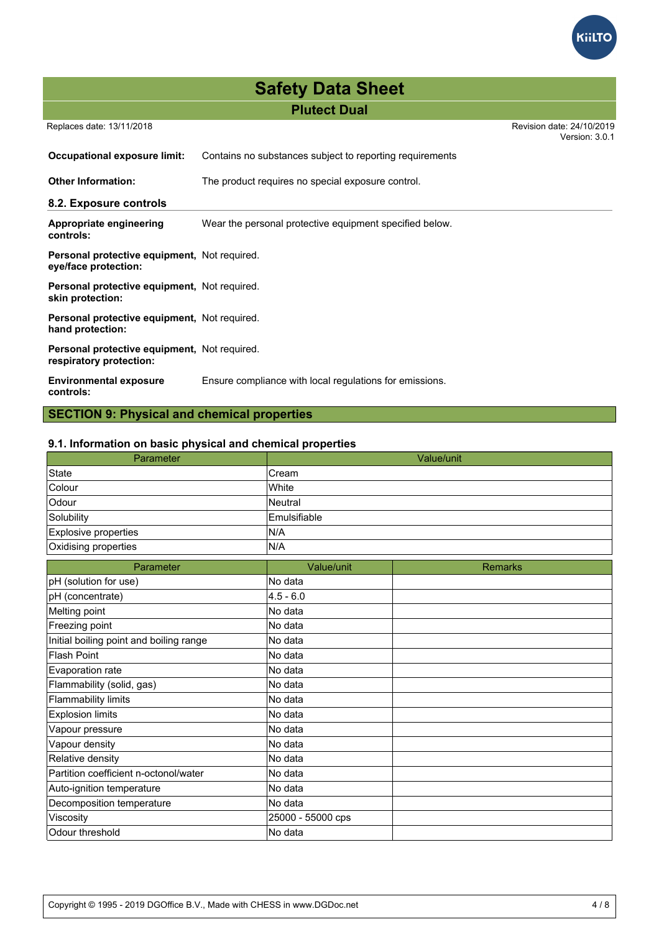

| <b>Safety Data Sheet</b> |                     |  |
|--------------------------|---------------------|--|
|                          | <b>Plutect Dual</b> |  |

Replaces date: 13/11/2018 Revision date: 24/10/2019

Version: 3.0.1

| Occupational exposure limit:                                            | Contains no substances subject to reporting requirements |  |
|-------------------------------------------------------------------------|----------------------------------------------------------|--|
| <b>Other Information:</b>                                               | The product requires no special exposure control.        |  |
| 8.2. Exposure controls                                                  |                                                          |  |
| Appropriate engineering<br>controls:                                    | Wear the personal protective equipment specified below.  |  |
| Personal protective equipment, Not required.<br>eye/face protection:    |                                                          |  |
| Personal protective equipment, Not required.<br>skin protection:        |                                                          |  |
| Personal protective equipment, Not required.<br>hand protection:        |                                                          |  |
| Personal protective equipment, Not required.<br>respiratory protection: |                                                          |  |
| <b>Environmental exposure</b><br>controls:                              | Ensure compliance with local regulations for emissions.  |  |

# **SECTION 9: Physical and chemical properties**

# **9.1. Information on basic physical and chemical properties**

| Parameter                               |                   | Value/unit     |
|-----------------------------------------|-------------------|----------------|
| <b>State</b>                            | Cream             |                |
| Colour                                  | White             |                |
| Odour                                   | <b>Neutral</b>    |                |
| Solubility                              | Emulsifiable      |                |
| Explosive properties                    | N/A               |                |
| Oxidising properties                    | N/A               |                |
| Parameter                               | Value/unit        | <b>Remarks</b> |
| pH (solution for use)                   | No data           |                |
| pH (concentrate)                        | $4.5 - 6.0$       |                |
| Melting point                           | No data           |                |
| Freezing point                          | No data           |                |
| Initial boiling point and boiling range | No data           |                |
| <b>Flash Point</b>                      | No data           |                |
| Evaporation rate                        | No data           |                |
| Flammability (solid, gas)               | No data           |                |
| <b>Flammability limits</b>              | No data           |                |
| <b>Explosion limits</b>                 | No data           |                |
| Vapour pressure                         | No data           |                |
| Vapour density                          | No data           |                |
| Relative density                        | No data           |                |
| Partition coefficient n-octonol/water   | No data           |                |
| Auto-ignition temperature               | No data           |                |
| Decomposition temperature               | No data           |                |
| Viscosity                               | 25000 - 55000 cps |                |
| Odour threshold                         | No data           |                |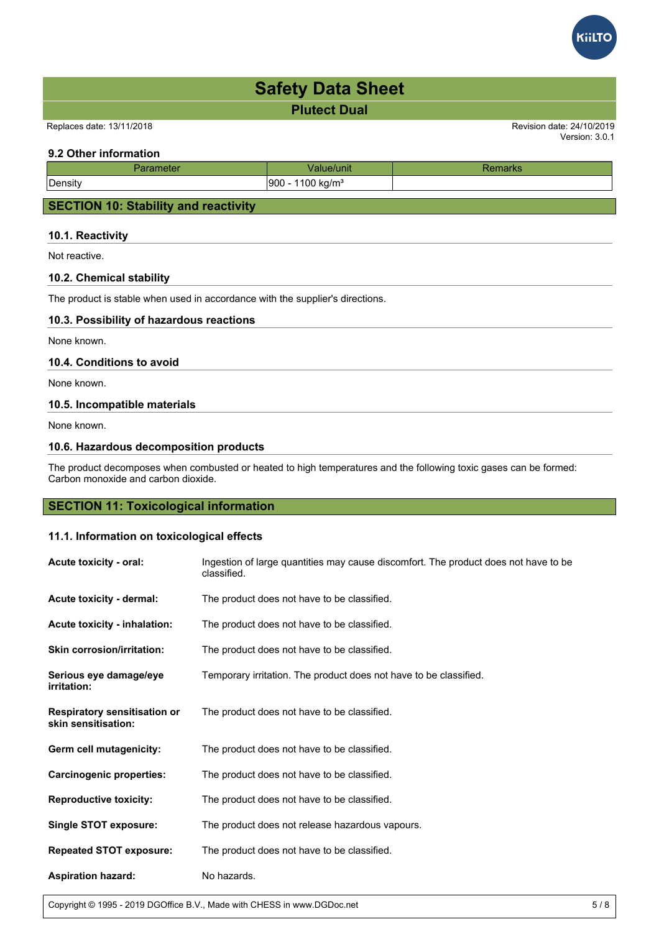Replaces date: 13/11/2018 Revision date: 24/10/2019

# **9.2 Other information**

| neter<br>ан | unit                           | παι κε |
|-------------|--------------------------------|--------|
| Density     | 1100 kg/m <sup>3</sup><br>1900 |        |
|             |                                |        |

# **SECTION 10: Stability and reactivity**

# **10.1. Reactivity**

Not reactive.

# **10.2. Chemical stability**

The product is stable when used in accordance with the supplier's directions.

# **10.3. Possibility of hazardous reactions**

None known.

# **10.4. Conditions to avoid**

None known.

# **10.5. Incompatible materials**

None known.

# **10.6. Hazardous decomposition products**

The product decomposes when combusted or heated to high temperatures and the following toxic gases can be formed: Carbon monoxide and carbon dioxide.

# **SECTION 11: Toxicological information**

# **11.1. Information on toxicological effects**

| Acute toxicity - oral:                                     | Ingestion of large quantities may cause discomfort. The product does not have to be<br>classified. |
|------------------------------------------------------------|----------------------------------------------------------------------------------------------------|
| Acute toxicity - dermal:                                   | The product does not have to be classified.                                                        |
| Acute toxicity - inhalation:                               | The product does not have to be classified.                                                        |
| <b>Skin corrosion/irritation:</b>                          | The product does not have to be classified.                                                        |
| Serious eye damage/eye<br><i>irritation:</i>               | Temporary irritation. The product does not have to be classified.                                  |
| <b>Respiratory sensitisation or</b><br>skin sensitisation: | The product does not have to be classified.                                                        |
| Germ cell mutagenicity:                                    | The product does not have to be classified.                                                        |
| <b>Carcinogenic properties:</b>                            | The product does not have to be classified.                                                        |
| <b>Reproductive toxicity:</b>                              | The product does not have to be classified.                                                        |
| <b>Single STOT exposure:</b>                               | The product does not release hazardous vapours.                                                    |
| <b>Repeated STOT exposure:</b>                             | The product does not have to be classified.                                                        |
| <b>Aspiration hazard:</b>                                  | No hazards.                                                                                        |

Copyright © 1995 - 2019 DGOffice B.V., Made with CHESS in www.DGDoc.net 5 / 8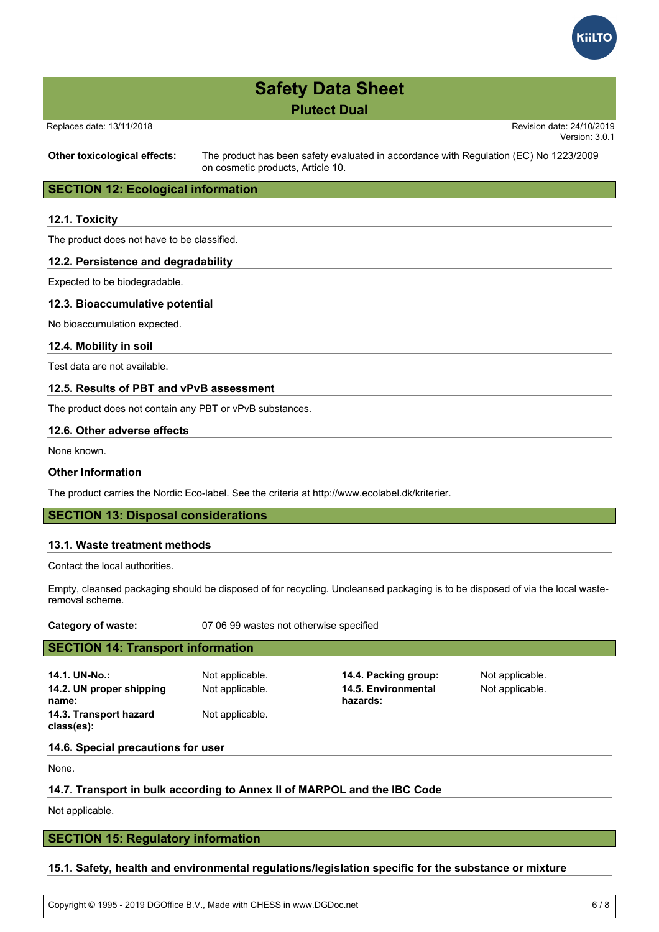

#### Replaces date: 13/11/2018 Revision date: 24/10/2019

Version: 3.0.1

**Other toxicological effects:** The product has been safety evaluated in accordance with Regulation (EC) No 1223/2009 on cosmetic products, Article 10.

# **SECTION 12: Ecological information**

### **12.1. Toxicity**

The product does not have to be classified.

## **12.2. Persistence and degradability**

Expected to be biodegradable.

### **12.3. Bioaccumulative potential**

No bioaccumulation expected.

### **12.4. Mobility in soil**

Test data are not available.

# **12.5. Results of PBT and vPvB assessment**

The product does not contain any PBT or vPvB substances.

## **12.6. Other adverse effects**

None known.

# **Other Information**

The product carries the Nordic Eco-label. See the criteria at http://www.ecolabel.dk/kriterier.

# **SECTION 13: Disposal considerations**

#### **13.1. Waste treatment methods**

Contact the local authorities.

Empty, cleansed packaging should be disposed of for recycling. Uncleansed packaging is to be disposed of via the local wasteremoval scheme.

**Category of waste:** 07 06 99 wastes not otherwise specified

# **SECTION 14: Transport information**

**14.1. UN-No.:** Not applicable. **14.4. Packing group:** Not applicable. **14.2. UN proper shipping name: 14.3. Transport hazard class(es):**

Not applicable.

Not applicable. **14.5. Environmental hazards:**

Not applicable.

#### **14.6. Special precautions for user**

None.

# **14.7. Transport in bulk according to Annex II of MARPOL and the IBC Code**

Not applicable.

# **SECTION 15: Regulatory information**

# **15.1. Safety, health and environmental regulations/legislation specific for the substance or mixture**

Copyright © 1995 - 2019 DGOffice B.V., Made with CHESS in www.DGDoc.net 6 / 8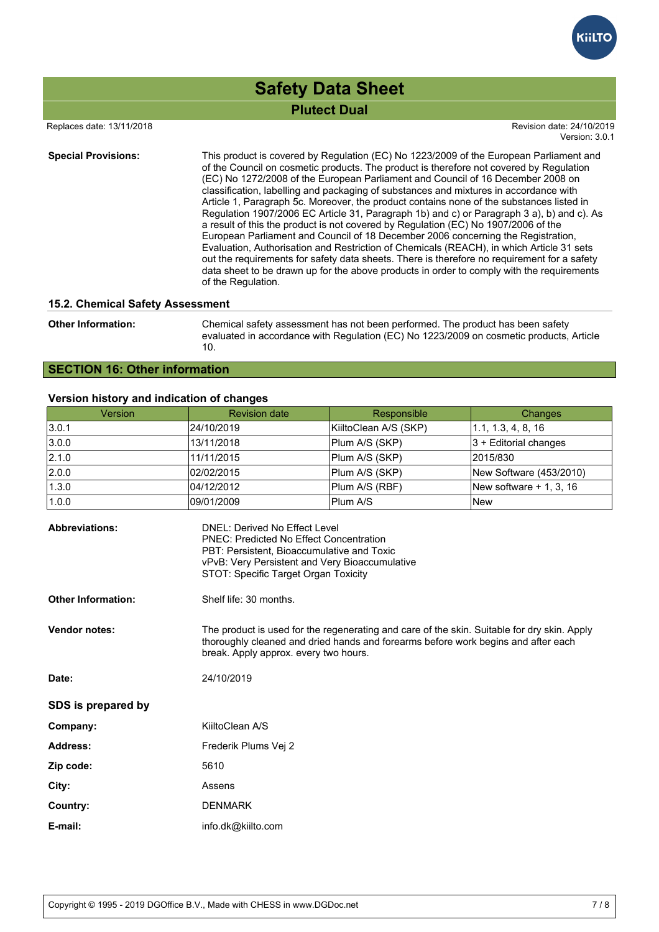

 Replaces date: 13/11/2018 Revision date: 24/10/2019 Version: 3.0.1

**Special Provisions:** This product is covered by Regulation (EC) No 1223/2009 of the European Parliament and of the Council on cosmetic products. The product is therefore not covered by Regulation (EC) No 1272/2008 of the European Parliament and Council of 16 December 2008 on classification, labelling and packaging of substances and mixtures in accordance with Article 1, Paragraph 5c. Moreover, the product contains none of the substances listed in Regulation 1907/2006 EC Article 31, Paragraph 1b) and c) or Paragraph 3 a), b) and c). As a result of this the product is not covered by Regulation (EC) No 1907/2006 of the European Parliament and Council of 18 December 2006 concerning the Registration, Evaluation, Authorisation and Restriction of Chemicals (REACH), in which Article 31 sets out the requirements for safety data sheets. There is therefore no requirement for a safety data sheet to be drawn up for the above products in order to comply with the requirements of the Regulation.

### **15.2. Chemical Safety Assessment**

**Other Information:** Chemical safety assessment has not been performed. The product has been safety evaluated in accordance with Regulation (EC) No 1223/2009 on cosmetic products, Article 10.

# **SECTION 16: Other information**

## **Version history and indication of changes**

| Version | <b>Revision date</b> | Responsible           | Changes                          |
|---------|----------------------|-----------------------|----------------------------------|
| 3.0.1   | 24/10/2019           | KiiltoClean A/S (SKP) | $\vert 1.1, 1.3, 4, 8, 16 \vert$ |
| 3.0.0   | 13/11/2018           | Plum A/S (SKP)        | $ 3 +$ Editorial changes         |
| 2.1.0   | 11/11/2015           | Plum A/S (SKP)        | 2015/830                         |
| 2.0.0   | 02/02/2015           | Plum A/S (SKP)        | New Software (453/2010)          |
| 1.3.0   | 104/12/2012          | Plum A/S (RBF)        | New software $+$ 1, 3, 16        |
| 1.0.0   | 109/01/2009          | Plum A/S              | <b>New</b>                       |

| <b>Abbreviations:</b>     | <b>DNEL: Derived No Effect Level</b><br><b>PNEC: Predicted No Effect Concentration</b><br>PBT: Persistent, Bioaccumulative and Toxic<br>vPvB: Very Persistent and Very Bioaccumulative<br>STOT: Specific Target Organ Toxicity |
|---------------------------|--------------------------------------------------------------------------------------------------------------------------------------------------------------------------------------------------------------------------------|
| <b>Other Information:</b> | Shelf life: 30 months.                                                                                                                                                                                                         |
| <b>Vendor notes:</b>      | The product is used for the regenerating and care of the skin. Suitable for dry skin. Apply<br>thoroughly cleaned and dried hands and forearms before work begins and after each<br>break. Apply approx. every two hours.      |
| Date:                     | 24/10/2019                                                                                                                                                                                                                     |
| SDS is prepared by        |                                                                                                                                                                                                                                |
| Company:                  | KiiltoClean A/S                                                                                                                                                                                                                |
| <b>Address:</b>           | Frederik Plums Vej 2                                                                                                                                                                                                           |
| Zip code:                 | 5610                                                                                                                                                                                                                           |
| City:                     | Assens                                                                                                                                                                                                                         |
| Country:                  | <b>DENMARK</b>                                                                                                                                                                                                                 |
| E-mail:                   | info.dk@kiilto.com                                                                                                                                                                                                             |